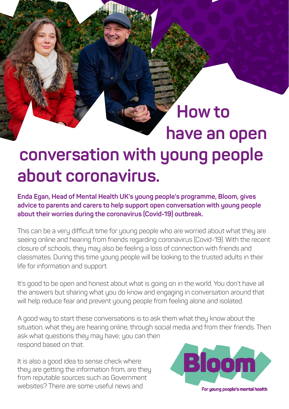## **conversation with young people about coronavirus.**

**How to** 

**have an open** 

**Enda Egan, Head of Mental Health UK's young people's programme, Bloom, gives advice to parents and carers to help support open conversation with young people about their worries during the coronavirus (Covid-19) outbreak.**

This can be a very difficult time for young people who are worried about what they are seeing online and hearing from friends regarding coronavirus (Covid-19). With the recent closure of schools, they may also be feeling a loss of connection with friends and classmates. During this time young people will be looking to the trusted adults in their life for information and support.

It's good to be open and honest about what is going on in the world. You don't have all the answers but sharing what you do know and engaging in conversation around that will help reduce fear and prevent young people from feeling alone and isolated.

A good way to start these conversations is to ask them what they know about the situation, what they are hearing online, through social media and from their friends. Then ask what questions they may have; you can then respond based on that.

It is also a good idea to sense check where they are getting the information from, are they from reputable sources such as Government websites? There are some useful news and

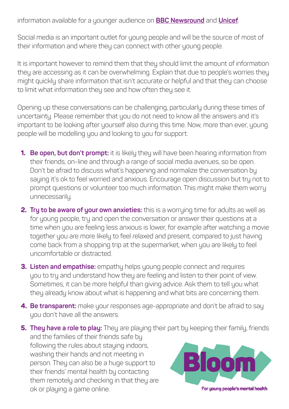information available for a younger audience on **[BBC Newsround](https://www.bbc.co.uk/newsround/51973588)** and **[Unicef](https://www.unicef.org.au/blog/news-and-insights/march-2020/how-to-talk-to-your-children-about-coronavirus)**.

Social media is an important outlet for young people and will be the source of most of their information and where they can connect with other young people.

It is important however to remind them that they should limit the amount of information they are accessing as it can be overwhelming. Explain that due to people's worries they might quickly share information that isn't accurate or helpful and that they can choose to limit what information they see and how often they see it.

Opening up these conversations can be challenging, particularly during these times of uncertainty. Please remember that you do not need to know all the answers and it's important to be looking after yourself also during this time. Now, more than ever, young people will be modelling you and looking to you for support.

- **1. Be open, but don't prompt:** it is likely they will have been hearing information from their friends, on-line and through a range of social media avenues, so be open. Don't be afraid to discuss what's happening and normalize the conversation by saying it's ok to feel worried and anxious. Encourage open discussion but try not to prompt questions or volunteer too much information. This might make them worry unnecessarily.
- **2. Try to be aware of your own anxieties:** this is a worrying time for adults as well as for young people, try and open the conversation or answer their questions at a time when you are feeling less anxious is lower, for example after watching a movie together you are more likely to feel relaxed and present, compared to just having come back from a shopping trip at the supermarket, when you are likely to feel uncomfortable or distracted.
- **3. Listen and empathise:** empathy helps young people connect and requires you to try and understand how they are feeling and listen to their point of view. Sometimes, it can be more helpful than giving advice. Ask them to tell you what they already know about what is happening and what bits are concerning them.
- **4. Be transparent:** make your responses age-appropriate and don't be afraid to say you don't have all the answers.

**5. They have a role to play:** They are playing their part by keeping their family, friends and the families of their friends safe by following the rules about staying indoors, washing their hands and not meeting in om person. They can also be a huge support to their friends' mental health by contacting them remotely and checking in that they are ok or playing a game online. For young people's mental health